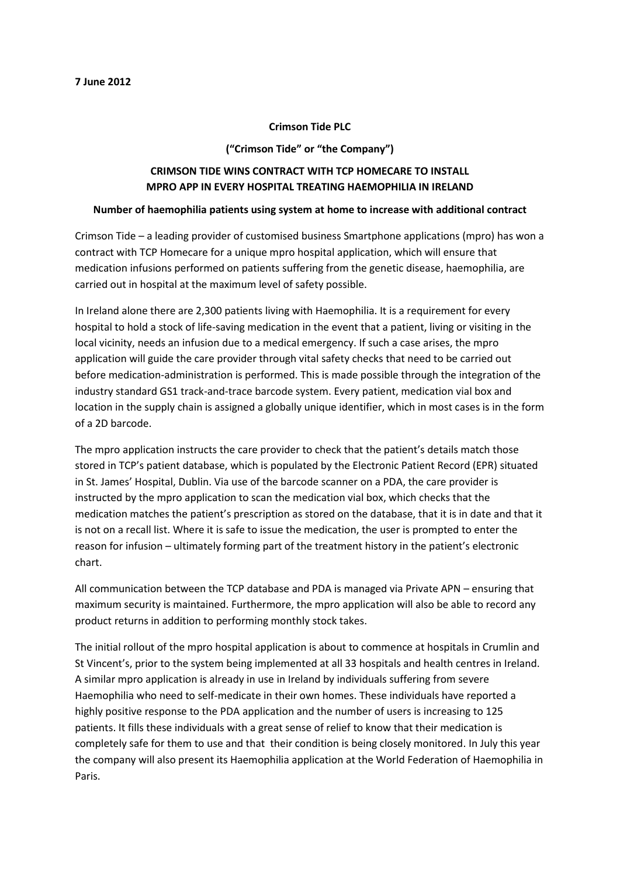### **Crimson Tide PLC**

## **("Crimson Tide" or "the Company")**

# **CRIMSON TIDE WINS CONTRACT WITH TCP HOMECARE TO INSTALL MPRO APP IN EVERY HOSPITAL TREATING HAEMOPHILIA IN IRELAND**

### **Number of haemophilia patients using system at home to increase with additional contract**

Crimson Tide – a leading provider of customised business Smartphone applications (mpro) has won a contract with TCP Homecare for a unique mpro hospital application, which will ensure that medication infusions performed on patients suffering from the genetic disease, haemophilia, are carried out in hospital at the maximum level of safety possible.

In Ireland alone there are 2,300 patients living with Haemophilia. It is a requirement for every hospital to hold a stock of life-saving medication in the event that a patient, living or visiting in the local vicinity, needs an infusion due to a medical emergency. If such a case arises, the mpro application will guide the care provider through vital safety checks that need to be carried out before medication-administration is performed. This is made possible through the integration of the industry standard GS1 track-and-trace barcode system. Every patient, medication vial box and location in the supply chain is assigned a globally unique identifier, which in most cases is in the form of a 2D barcode.

The mpro application instructs the care provider to check that the patient's details match those stored in TCP's patient database, which is populated by the Electronic Patient Record (EPR) situated in St. James' Hospital, Dublin. Via use of the barcode scanner on a PDA, the care provider is instructed by the mpro application to scan the medication vial box, which checks that the medication matches the patient's prescription as stored on the database, that it is in date and that it is not on a recall list. Where it is safe to issue the medication, the user is prompted to enter the reason for infusion – ultimately forming part of the treatment history in the patient's electronic chart.

All communication between the TCP database and PDA is managed via Private APN – ensuring that maximum security is maintained. Furthermore, the mpro application will also be able to record any product returns in addition to performing monthly stock takes.

The initial rollout of the mpro hospital application is about to commence at hospitals in Crumlin and St Vincent's, prior to the system being implemented at all 33 hospitals and health centres in Ireland. A similar mpro application is already in use in Ireland by individuals suffering from severe Haemophilia who need to self-medicate in their own homes. These individuals have reported a highly positive response to the PDA application and the number of users is increasing to 125 patients. It fills these individuals with a great sense of relief to know that their medication is completely safe for them to use and that their condition is being closely monitored. In July this year the company will also present its Haemophilia application at the World Federation of Haemophilia in Paris.